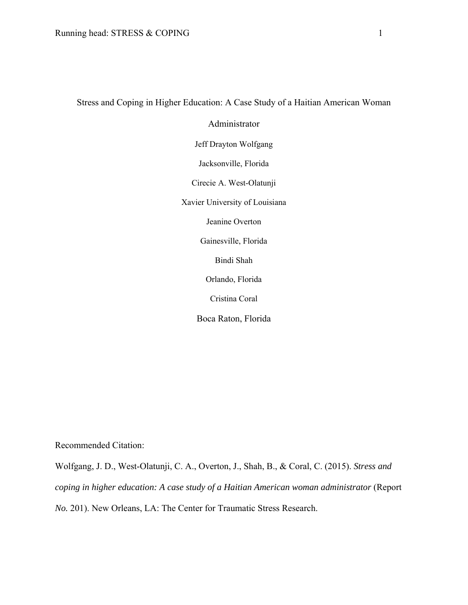# Stress and Coping in Higher Education: A Case Study of a Haitian American Woman

Administrator

Jeff Drayton Wolfgang

Jacksonville, Florida

Cirecie A. West-Olatunji

Xavier University of Louisiana

Jeanine Overton

Gainesville, Florida

Bindi Shah

Orlando, Florida

Cristina Coral

Boca Raton, Florida

Recommended Citation:

Wolfgang, J. D., West-Olatunji, C. A., Overton, J., Shah, B., & Coral, C. (2015). *Stress and coping in higher education: A case study of a Haitian American woman administrator* (Report *No.* 201). New Orleans, LA: The Center for Traumatic Stress Research.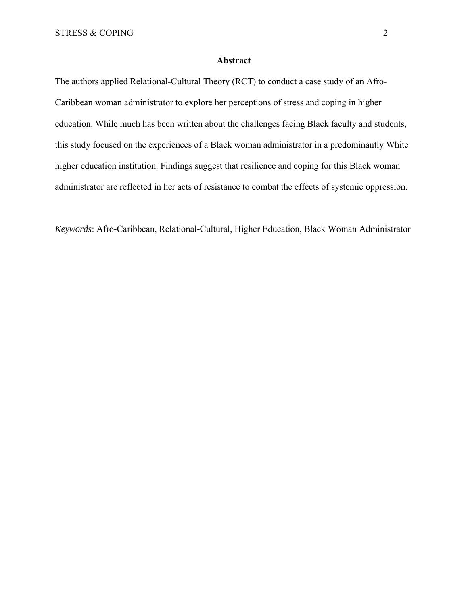# **Abstract**

The authors applied Relational-Cultural Theory (RCT) to conduct a case study of an Afro-Caribbean woman administrator to explore her perceptions of stress and coping in higher education. While much has been written about the challenges facing Black faculty and students, this study focused on the experiences of a Black woman administrator in a predominantly White higher education institution. Findings suggest that resilience and coping for this Black woman administrator are reflected in her acts of resistance to combat the effects of systemic oppression.

*Keywords*: Afro-Caribbean, Relational-Cultural, Higher Education, Black Woman Administrator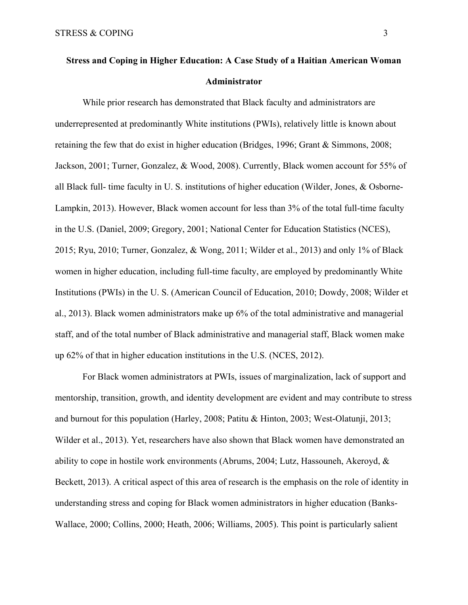# **Stress and Coping in Higher Education: A Case Study of a Haitian American Woman Administrator**

While prior research has demonstrated that Black faculty and administrators are underrepresented at predominantly White institutions (PWIs), relatively little is known about retaining the few that do exist in higher education (Bridges, 1996; Grant & Simmons, 2008; Jackson, 2001; Turner, Gonzalez, & Wood, 2008). Currently, Black women account for 55% of all Black full- time faculty in U. S. institutions of higher education (Wilder, Jones, & Osborne-Lampkin, 2013). However, Black women account for less than 3% of the total full-time faculty in the U.S. (Daniel, 2009; Gregory, 2001; National Center for Education Statistics (NCES), 2015; Ryu, 2010; Turner, Gonzalez, & Wong, 2011; Wilder et al., 2013) and only 1% of Black women in higher education, including full-time faculty, are employed by predominantly White Institutions (PWIs) in the U. S. (American Council of Education, 2010; Dowdy, 2008; Wilder et al., 2013). Black women administrators make up 6% of the total administrative and managerial staff, and of the total number of Black administrative and managerial staff, Black women make up 62% of that in higher education institutions in the U.S. (NCES, 2012).

For Black women administrators at PWIs, issues of marginalization, lack of support and mentorship, transition, growth, and identity development are evident and may contribute to stress and burnout for this population (Harley, 2008; Patitu & Hinton, 2003; West-Olatunji, 2013; Wilder et al., 2013). Yet, researchers have also shown that Black women have demonstrated an ability to cope in hostile work environments (Abrums, 2004; Lutz, Hassouneh, Akeroyd, & Beckett, 2013). A critical aspect of this area of research is the emphasis on the role of identity in understanding stress and coping for Black women administrators in higher education (Banks-Wallace, 2000; Collins, 2000; Heath, 2006; Williams, 2005). This point is particularly salient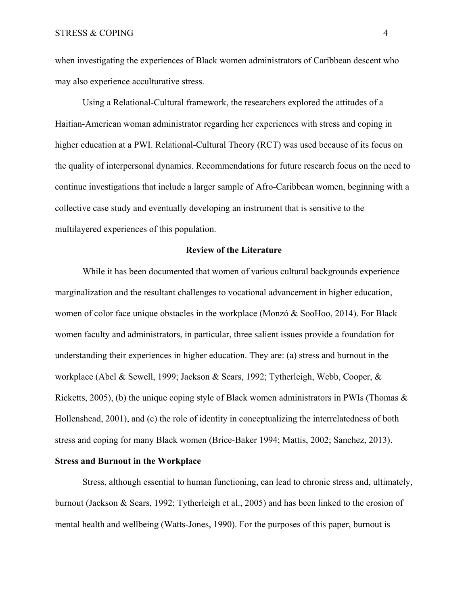when investigating the experiences of Black women administrators of Caribbean descent who may also experience acculturative stress.

Using a Relational-Cultural framework, the researchers explored the attitudes of a Haitian-American woman administrator regarding her experiences with stress and coping in higher education at a PWI. Relational-Cultural Theory (RCT) was used because of its focus on the quality of interpersonal dynamics. Recommendations for future research focus on the need to continue investigations that include a larger sample of Afro-Caribbean women, beginning with a collective case study and eventually developing an instrument that is sensitive to the multilayered experiences of this population.

# **Review of the Literature**

 While it has been documented that women of various cultural backgrounds experience marginalization and the resultant challenges to vocational advancement in higher education, women of color face unique obstacles in the workplace (Monzó & SooHoo, 2014). For Black women faculty and administrators, in particular, three salient issues provide a foundation for understanding their experiences in higher education. They are: (a) stress and burnout in the workplace (Abel & Sewell, 1999; Jackson & Sears, 1992; Tytherleigh, Webb, Cooper, & Ricketts, 2005), (b) the unique coping style of Black women administrators in PWIs (Thomas & Hollenshead, 2001), and (c) the role of identity in conceptualizing the interrelatedness of both stress and coping for many Black women (Brice-Baker 1994; Mattis, 2002; Sanchez, 2013).

# **Stress and Burnout in the Workplace**

Stress, although essential to human functioning, can lead to chronic stress and, ultimately, burnout (Jackson & Sears, 1992; Tytherleigh et al., 2005) and has been linked to the erosion of mental health and wellbeing (Watts-Jones, 1990). For the purposes of this paper, burnout is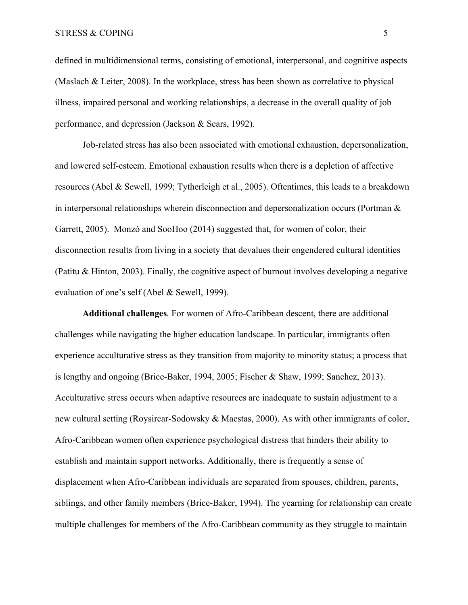defined in multidimensional terms, consisting of emotional, interpersonal, and cognitive aspects (Maslach & Leiter, 2008). In the workplace, stress has been shown as correlative to physical illness, impaired personal and working relationships, a decrease in the overall quality of job performance, and depression (Jackson & Sears, 1992).

Job-related stress has also been associated with emotional exhaustion, depersonalization, and lowered self-esteem. Emotional exhaustion results when there is a depletion of affective resources (Abel & Sewell, 1999; Tytherleigh et al., 2005). Oftentimes, this leads to a breakdown in interpersonal relationships wherein disconnection and depersonalization occurs (Portman  $\&$ Garrett, 2005). Monzó and SooHoo (2014) suggested that, for women of color, their disconnection results from living in a society that devalues their engendered cultural identities (Patitu & Hinton, 2003). Finally, the cognitive aspect of burnout involves developing a negative evaluation of one's self (Abel & Sewell, 1999).

**Additional challenges***.* For women of Afro-Caribbean descent, there are additional challenges while navigating the higher education landscape. In particular, immigrants often experience acculturative stress as they transition from majority to minority status; a process that is lengthy and ongoing (Brice-Baker, 1994, 2005; Fischer & Shaw, 1999; Sanchez, 2013). Acculturative stress occurs when adaptive resources are inadequate to sustain adjustment to a new cultural setting (Roysircar-Sodowsky & Maestas, 2000). As with other immigrants of color, Afro-Caribbean women often experience psychological distress that hinders their ability to establish and maintain support networks. Additionally, there is frequently a sense of displacement when Afro-Caribbean individuals are separated from spouses, children, parents, siblings, and other family members (Brice-Baker, 1994). The yearning for relationship can create multiple challenges for members of the Afro-Caribbean community as they struggle to maintain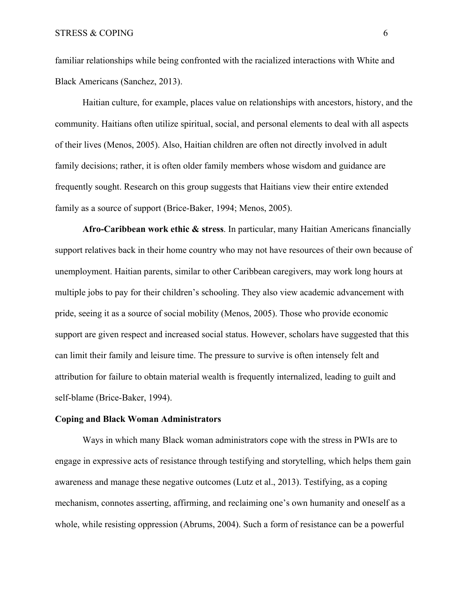familiar relationships while being confronted with the racialized interactions with White and Black Americans (Sanchez, 2013).

Haitian culture, for example, places value on relationships with ancestors, history, and the community. Haitians often utilize spiritual, social, and personal elements to deal with all aspects of their lives (Menos, 2005). Also, Haitian children are often not directly involved in adult family decisions; rather, it is often older family members whose wisdom and guidance are frequently sought. Research on this group suggests that Haitians view their entire extended family as a source of support (Brice-Baker, 1994; Menos, 2005).

**Afro-Caribbean work ethic & stress**. In particular, many Haitian Americans financially support relatives back in their home country who may not have resources of their own because of unemployment. Haitian parents, similar to other Caribbean caregivers, may work long hours at multiple jobs to pay for their children's schooling. They also view academic advancement with pride, seeing it as a source of social mobility (Menos, 2005). Those who provide economic support are given respect and increased social status. However, scholars have suggested that this can limit their family and leisure time. The pressure to survive is often intensely felt and attribution for failure to obtain material wealth is frequently internalized, leading to guilt and self-blame (Brice-Baker, 1994).

#### **Coping and Black Woman Administrators**

Ways in which many Black woman administrators cope with the stress in PWIs are to engage in expressive acts of resistance through testifying and storytelling, which helps them gain awareness and manage these negative outcomes (Lutz et al., 2013). Testifying, as a coping mechanism, connotes asserting, affirming, and reclaiming one's own humanity and oneself as a whole, while resisting oppression (Abrums, 2004). Such a form of resistance can be a powerful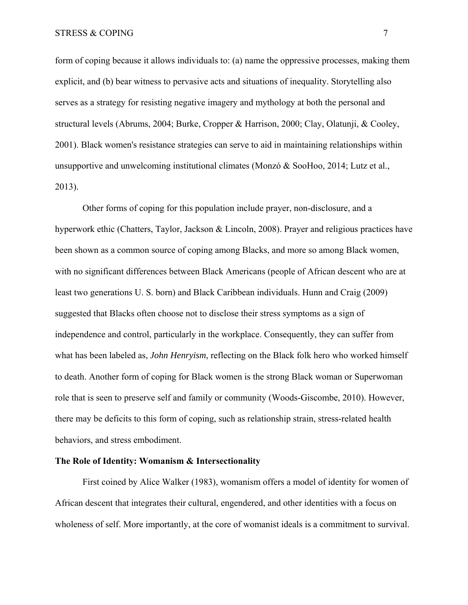form of coping because it allows individuals to: (a) name the oppressive processes, making them explicit, and (b) bear witness to pervasive acts and situations of inequality. Storytelling also serves as a strategy for resisting negative imagery and mythology at both the personal and structural levels (Abrums, 2004; Burke, Cropper & Harrison, 2000; Clay, Olatunji, & Cooley, 2001). Black women's resistance strategies can serve to aid in maintaining relationships within unsupportive and unwelcoming institutional climates (Monzó & SooHoo, 2014; Lutz et al., 2013).

Other forms of coping for this population include prayer, non-disclosure, and a hyperwork ethic (Chatters, Taylor, Jackson & Lincoln, 2008). Prayer and religious practices have been shown as a common source of coping among Blacks, and more so among Black women, with no significant differences between Black Americans (people of African descent who are at least two generations U. S. born) and Black Caribbean individuals. Hunn and Craig (2009) suggested that Blacks often choose not to disclose their stress symptoms as a sign of independence and control, particularly in the workplace. Consequently, they can suffer from what has been labeled as, *John Henryism*, reflecting on the Black folk hero who worked himself to death. Another form of coping for Black women is the strong Black woman or Superwoman role that is seen to preserve self and family or community (Woods-Giscombe, 2010). However, there may be deficits to this form of coping, such as relationship strain, stress-related health behaviors, and stress embodiment.

# **The Role of Identity: Womanism & Intersectionality**

First coined by Alice Walker (1983), womanism offers a model of identity for women of African descent that integrates their cultural, engendered, and other identities with a focus on wholeness of self. More importantly, at the core of womanist ideals is a commitment to survival.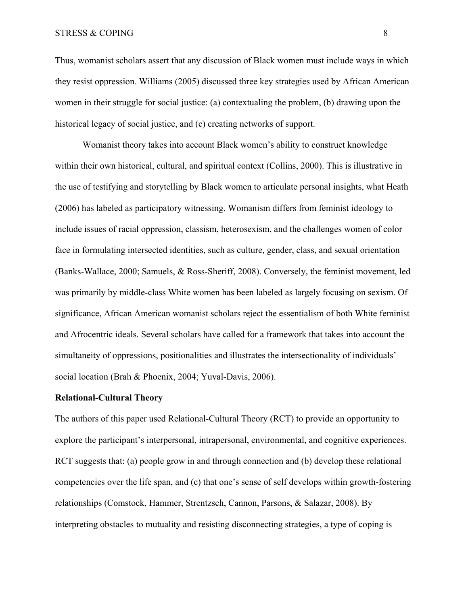#### STRESS & COPING 8

Thus, womanist scholars assert that any discussion of Black women must include ways in which they resist oppression. Williams (2005) discussed three key strategies used by African American women in their struggle for social justice: (a) contextualing the problem, (b) drawing upon the historical legacy of social justice, and (c) creating networks of support.

Womanist theory takes into account Black women's ability to construct knowledge within their own historical, cultural, and spiritual context (Collins, 2000). This is illustrative in the use of testifying and storytelling by Black women to articulate personal insights, what Heath (2006) has labeled as participatory witnessing. Womanism differs from feminist ideology to include issues of racial oppression, classism, heterosexism, and the challenges women of color face in formulating intersected identities, such as culture, gender, class, and sexual orientation (Banks-Wallace, 2000; Samuels, & Ross-Sheriff, 2008). Conversely, the feminist movement, led was primarily by middle-class White women has been labeled as largely focusing on sexism. Of significance, African American womanist scholars reject the essentialism of both White feminist and Afrocentric ideals. Several scholars have called for a framework that takes into account the simultaneity of oppressions, positionalities and illustrates the intersectionality of individuals' social location (Brah & Phoenix, 2004; Yuval-Davis, 2006).

#### **Relational-Cultural Theory**

The authors of this paper used Relational-Cultural Theory (RCT) to provide an opportunity to explore the participant's interpersonal, intrapersonal, environmental, and cognitive experiences. RCT suggests that: (a) people grow in and through connection and (b) develop these relational competencies over the life span, and (c) that one's sense of self develops within growth-fostering relationships (Comstock, Hammer, Strentzsch, Cannon, Parsons, & Salazar, 2008). By interpreting obstacles to mutuality and resisting disconnecting strategies, a type of coping is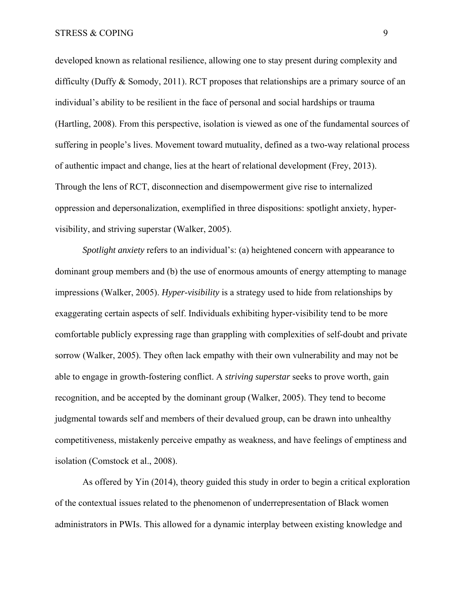developed known as relational resilience, allowing one to stay present during complexity and difficulty (Duffy & Somody, 2011). RCT proposes that relationships are a primary source of an individual's ability to be resilient in the face of personal and social hardships or trauma (Hartling, 2008). From this perspective, isolation is viewed as one of the fundamental sources of suffering in people's lives. Movement toward mutuality, defined as a two-way relational process of authentic impact and change, lies at the heart of relational development (Frey, 2013). Through the lens of RCT, disconnection and disempowerment give rise to internalized oppression and depersonalization, exemplified in three dispositions: spotlight anxiety, hypervisibility, and striving superstar (Walker, 2005).

*Spotlight anxiety* refers to an individual's: (a) heightened concern with appearance to dominant group members and (b) the use of enormous amounts of energy attempting to manage impressions (Walker, 2005). *Hyper-visibility* is a strategy used to hide from relationships by exaggerating certain aspects of self. Individuals exhibiting hyper-visibility tend to be more comfortable publicly expressing rage than grappling with complexities of self-doubt and private sorrow (Walker, 2005). They often lack empathy with their own vulnerability and may not be able to engage in growth-fostering conflict. A *striving superstar* seeks to prove worth, gain recognition, and be accepted by the dominant group (Walker, 2005). They tend to become judgmental towards self and members of their devalued group, can be drawn into unhealthy competitiveness, mistakenly perceive empathy as weakness, and have feelings of emptiness and isolation (Comstock et al., 2008).

As offered by Yin (2014), theory guided this study in order to begin a critical exploration of the contextual issues related to the phenomenon of underrepresentation of Black women administrators in PWIs. This allowed for a dynamic interplay between existing knowledge and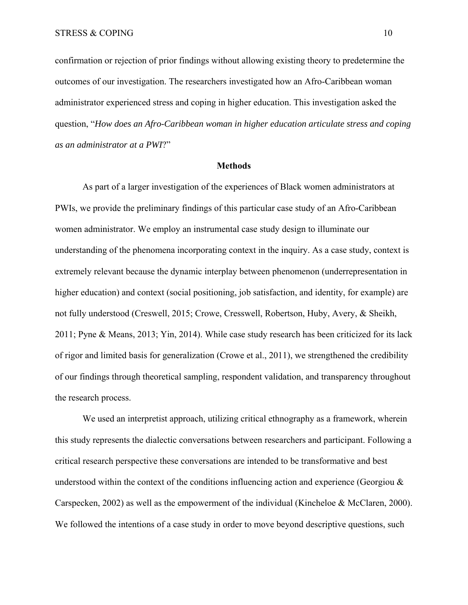confirmation or rejection of prior findings without allowing existing theory to predetermine the outcomes of our investigation. The researchers investigated how an Afro-Caribbean woman administrator experienced stress and coping in higher education. This investigation asked the question, "*How does an Afro-Caribbean woman in higher education articulate stress and coping as an administrator at a PWI*?"

#### **Methods**

As part of a larger investigation of the experiences of Black women administrators at PWIs, we provide the preliminary findings of this particular case study of an Afro-Caribbean women administrator. We employ an instrumental case study design to illuminate our understanding of the phenomena incorporating context in the inquiry. As a case study, context is extremely relevant because the dynamic interplay between phenomenon (underrepresentation in higher education) and context (social positioning, job satisfaction, and identity, for example) are not fully understood (Creswell, 2015; Crowe, Cresswell, Robertson, Huby, Avery, & Sheikh, 2011; Pyne & Means, 2013; Yin, 2014). While case study research has been criticized for its lack of rigor and limited basis for generalization (Crowe et al., 2011), we strengthened the credibility of our findings through theoretical sampling, respondent validation, and transparency throughout the research process.

We used an interpretist approach, utilizing critical ethnography as a framework, wherein this study represents the dialectic conversations between researchers and participant. Following a critical research perspective these conversations are intended to be transformative and best understood within the context of the conditions influencing action and experience (Georgiou  $\&$ Carspecken, 2002) as well as the empowerment of the individual (Kincheloe & McClaren, 2000). We followed the intentions of a case study in order to move beyond descriptive questions, such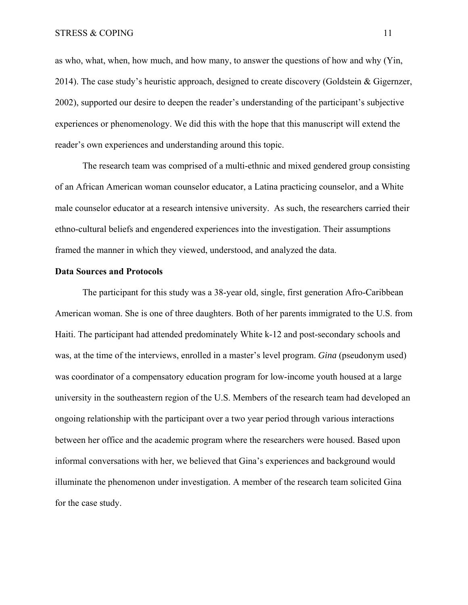as who, what, when, how much, and how many, to answer the questions of how and why (Yin, 2014). The case study's heuristic approach, designed to create discovery (Goldstein & Gigernzer, 2002), supported our desire to deepen the reader's understanding of the participant's subjective experiences or phenomenology. We did this with the hope that this manuscript will extend the reader's own experiences and understanding around this topic.

The research team was comprised of a multi-ethnic and mixed gendered group consisting of an African American woman counselor educator, a Latina practicing counselor, and a White male counselor educator at a research intensive university. As such, the researchers carried their ethno-cultural beliefs and engendered experiences into the investigation. Their assumptions framed the manner in which they viewed, understood, and analyzed the data.

# **Data Sources and Protocols**

The participant for this study was a 38-year old, single, first generation Afro-Caribbean American woman. She is one of three daughters. Both of her parents immigrated to the U.S. from Haiti. The participant had attended predominately White k-12 and post-secondary schools and was, at the time of the interviews, enrolled in a master's level program. *Gina* (pseudonym used) was coordinator of a compensatory education program for low-income youth housed at a large university in the southeastern region of the U.S. Members of the research team had developed an ongoing relationship with the participant over a two year period through various interactions between her office and the academic program where the researchers were housed. Based upon informal conversations with her, we believed that Gina's experiences and background would illuminate the phenomenon under investigation. A member of the research team solicited Gina for the case study.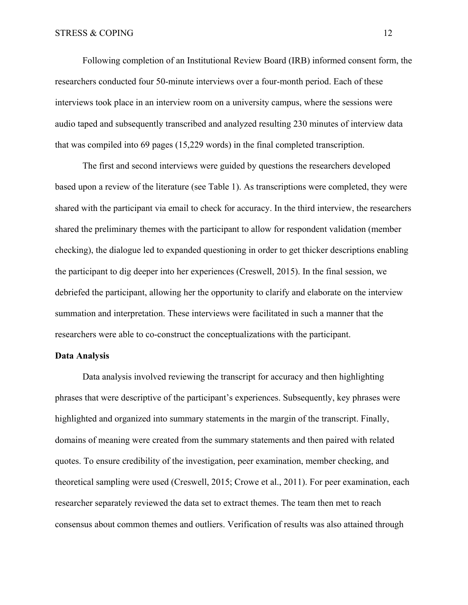Following completion of an Institutional Review Board (IRB) informed consent form, the researchers conducted four 50-minute interviews over a four-month period. Each of these interviews took place in an interview room on a university campus, where the sessions were audio taped and subsequently transcribed and analyzed resulting 230 minutes of interview data that was compiled into 69 pages (15,229 words) in the final completed transcription.

The first and second interviews were guided by questions the researchers developed based upon a review of the literature (see Table 1). As transcriptions were completed, they were shared with the participant via email to check for accuracy. In the third interview, the researchers shared the preliminary themes with the participant to allow for respondent validation (member checking), the dialogue led to expanded questioning in order to get thicker descriptions enabling the participant to dig deeper into her experiences (Creswell, 2015). In the final session, we debriefed the participant, allowing her the opportunity to clarify and elaborate on the interview summation and interpretation. These interviews were facilitated in such a manner that the researchers were able to co-construct the conceptualizations with the participant.

# **Data Analysis**

Data analysis involved reviewing the transcript for accuracy and then highlighting phrases that were descriptive of the participant's experiences. Subsequently, key phrases were highlighted and organized into summary statements in the margin of the transcript. Finally, domains of meaning were created from the summary statements and then paired with related quotes. To ensure credibility of the investigation, peer examination, member checking, and theoretical sampling were used (Creswell, 2015; Crowe et al., 2011). For peer examination, each researcher separately reviewed the data set to extract themes. The team then met to reach consensus about common themes and outliers. Verification of results was also attained through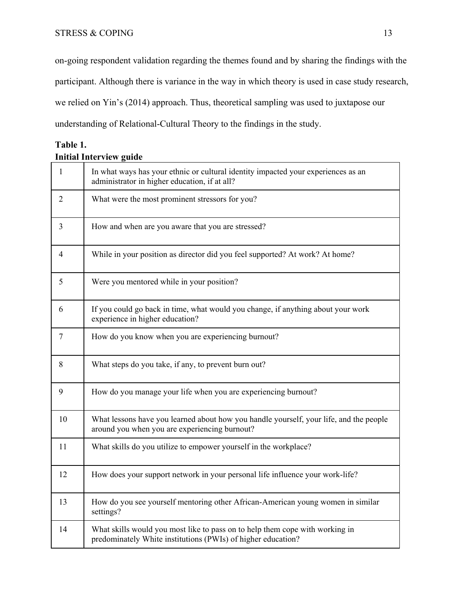on-going respondent validation regarding the themes found and by sharing the findings with the participant. Although there is variance in the way in which theory is used in case study research, we relied on Yin's (2014) approach. Thus, theoretical sampling was used to juxtapose our understanding of Relational-Cultural Theory to the findings in the study.

| Table 1.                       |  |
|--------------------------------|--|
| <b>Initial Interview guide</b> |  |

| $\mathbf{1}$ | In what ways has your ethnic or cultural identity impacted your experiences as an<br>administrator in higher education, if at all?           |
|--------------|----------------------------------------------------------------------------------------------------------------------------------------------|
| 2            | What were the most prominent stressors for you?                                                                                              |
| 3            | How and when are you aware that you are stressed?                                                                                            |
| 4            | While in your position as director did you feel supported? At work? At home?                                                                 |
| 5            | Were you mentored while in your position?                                                                                                    |
| 6            | If you could go back in time, what would you change, if anything about your work<br>experience in higher education?                          |
| $\tau$       | How do you know when you are experiencing burnout?                                                                                           |
| 8            | What steps do you take, if any, to prevent burn out?                                                                                         |
| 9            | How do you manage your life when you are experiencing burnout?                                                                               |
| 10           | What lessons have you learned about how you handle yourself, your life, and the people<br>around you when you are experiencing burnout?      |
| 11           | What skills do you utilize to empower yourself in the workplace?                                                                             |
| 12           | How does your support network in your personal life influence your work-life?                                                                |
| 13           | How do you see yourself mentoring other African-American young women in similar<br>settings?                                                 |
| 14           | What skills would you most like to pass on to help them cope with working in<br>predominately White institutions (PWIs) of higher education? |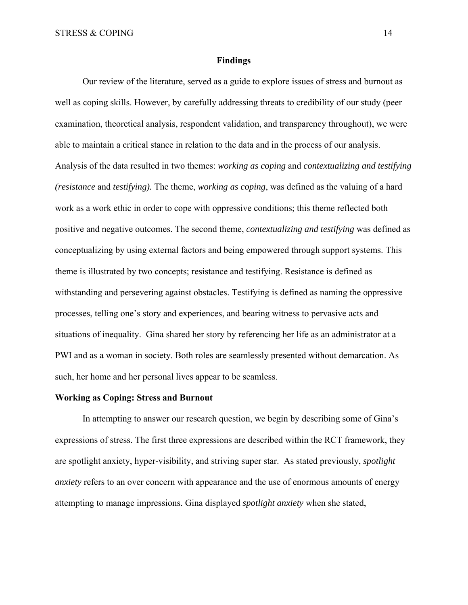#### **Findings**

Our review of the literature, served as a guide to explore issues of stress and burnout as well as coping skills. However, by carefully addressing threats to credibility of our study (peer examination, theoretical analysis, respondent validation, and transparency throughout), we were able to maintain a critical stance in relation to the data and in the process of our analysis. Analysis of the data resulted in two themes: *working as coping* and *contextualizing and testifying (resistance* and *testifying).* The theme, *working as coping*, was defined as the valuing of a hard work as a work ethic in order to cope with oppressive conditions; this theme reflected both positive and negative outcomes. The second theme, *contextualizing and testifying* was defined as conceptualizing by using external factors and being empowered through support systems. This theme is illustrated by two concepts; resistance and testifying. Resistance is defined as withstanding and persevering against obstacles. Testifying is defined as naming the oppressive processes, telling one's story and experiences, and bearing witness to pervasive acts and situations of inequality. Gina shared her story by referencing her life as an administrator at a PWI and as a woman in society. Both roles are seamlessly presented without demarcation. As such, her home and her personal lives appear to be seamless.

#### **Working as Coping: Stress and Burnout**

In attempting to answer our research question, we begin by describing some of Gina's expressions of stress. The first three expressions are described within the RCT framework, they are spotlight anxiety, hyper-visibility, and striving super star. As stated previously, *spotlight anxiety* refers to an over concern with appearance and the use of enormous amounts of energy attempting to manage impressions. Gina displayed *spotlight anxiety* when she stated,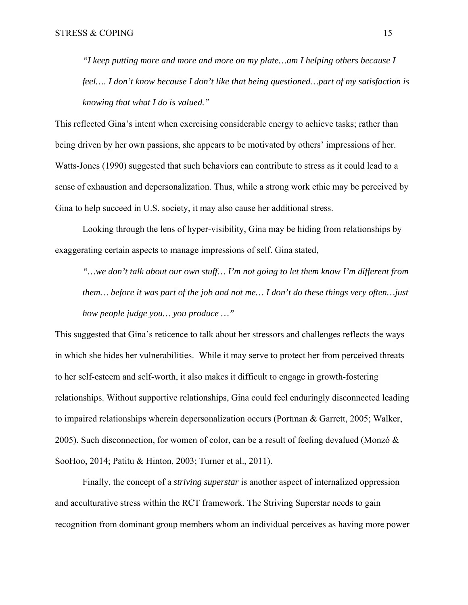*"I keep putting more and more and more on my plate…am I helping others because I feel…. I don't know because I don't like that being questioned…part of my satisfaction is knowing that what I do is valued."*

This reflected Gina's intent when exercising considerable energy to achieve tasks; rather than being driven by her own passions, she appears to be motivated by others' impressions of her. Watts-Jones (1990) suggested that such behaviors can contribute to stress as it could lead to a sense of exhaustion and depersonalization. Thus, while a strong work ethic may be perceived by Gina to help succeed in U.S. society, it may also cause her additional stress.

Looking through the lens of hyper-visibility, Gina may be hiding from relationships by exaggerating certain aspects to manage impressions of self. Gina stated,

*"…we don't talk about our own stuff… I'm not going to let them know I'm different from them… before it was part of the job and not me… I don't do these things very often…just how people judge you… you produce …"*

This suggested that Gina's reticence to talk about her stressors and challenges reflects the ways in which she hides her vulnerabilities. While it may serve to protect her from perceived threats to her self-esteem and self-worth, it also makes it difficult to engage in growth-fostering relationships. Without supportive relationships, Gina could feel enduringly disconnected leading to impaired relationships wherein depersonalization occurs (Portman & Garrett, 2005; Walker, 2005). Such disconnection, for women of color, can be a result of feeling devalued (Monzó  $\&$ SooHoo, 2014; Patitu & Hinton, 2003; Turner et al., 2011).

Finally, the concept of a *striving superstar* is another aspect of internalized oppression and acculturative stress within the RCT framework. The Striving Superstar needs to gain recognition from dominant group members whom an individual perceives as having more power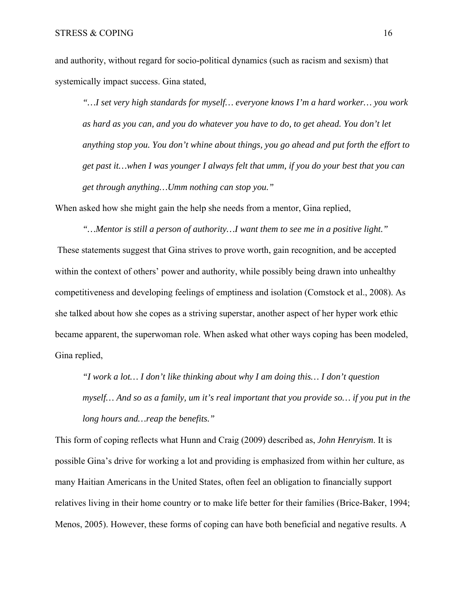and authority, without regard for socio-political dynamics (such as racism and sexism) that systemically impact success. Gina stated,

*"…I set very high standards for myself… everyone knows I'm a hard worker… you work as hard as you can, and you do whatever you have to do, to get ahead. You don't let anything stop you. You don't whine about things, you go ahead and put forth the effort to get past it…when I was younger I always felt that umm, if you do your best that you can get through anything…Umm nothing can stop you."*

When asked how she might gain the help she needs from a mentor, Gina replied,

*"…Mentor is still a person of authority…I want them to see me in a positive light."* These statements suggest that Gina strives to prove worth, gain recognition, and be accepted within the context of others' power and authority, while possibly being drawn into unhealthy competitiveness and developing feelings of emptiness and isolation (Comstock et al., 2008). As she talked about how she copes as a striving superstar, another aspect of her hyper work ethic became apparent, the superwoman role. When asked what other ways coping has been modeled, Gina replied,

*"I work a lot… I don't like thinking about why I am doing this… I don't question myself… And so as a family, um it's real important that you provide so… if you put in the long hours and…reap the benefits."*

This form of coping reflects what Hunn and Craig (2009) described as, *John Henryism*. It is possible Gina's drive for working a lot and providing is emphasized from within her culture, as many Haitian Americans in the United States, often feel an obligation to financially support relatives living in their home country or to make life better for their families (Brice-Baker, 1994; Menos, 2005). However, these forms of coping can have both beneficial and negative results. A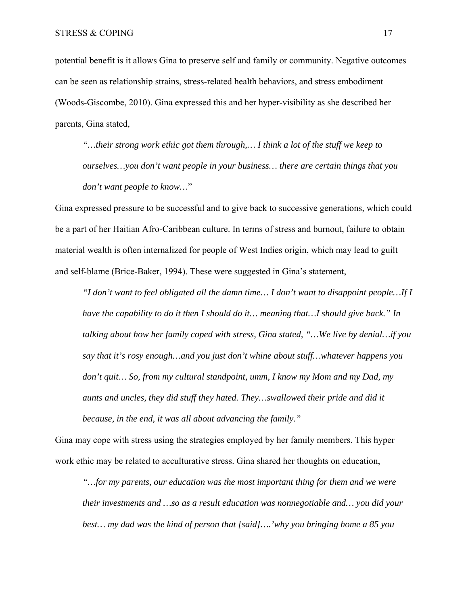potential benefit is it allows Gina to preserve self and family or community. Negative outcomes can be seen as relationship strains, stress-related health behaviors, and stress embodiment (Woods-Giscombe, 2010). Gina expressed this and her hyper-visibility as she described her parents, Gina stated,

*"…their strong work ethic got them through,… I think a lot of the stuff we keep to ourselves…you don't want people in your business… there are certain things that you don't want people to know…*"

Gina expressed pressure to be successful and to give back to successive generations, which could be a part of her Haitian Afro-Caribbean culture. In terms of stress and burnout, failure to obtain material wealth is often internalized for people of West Indies origin, which may lead to guilt and self-blame (Brice-Baker, 1994). These were suggested in Gina's statement,

*"I don't want to feel obligated all the damn time… I don't want to disappoint people…If I have the capability to do it then I should do it… meaning that…I should give back." In talking about how her family coped with stress, Gina stated, "…We live by denial…if you say that it's rosy enough…and you just don't whine about stuff…whatever happens you don't quit… So, from my cultural standpoint, umm, I know my Mom and my Dad, my aunts and uncles, they did stuff they hated. They…swallowed their pride and did it because, in the end, it was all about advancing the family."*

Gina may cope with stress using the strategies employed by her family members. This hyper work ethic may be related to acculturative stress. Gina shared her thoughts on education,

*"…for my parents, our education was the most important thing for them and we were their investments and …so as a result education was nonnegotiable and… you did your best… my dad was the kind of person that [said]….'why you bringing home a 85 you*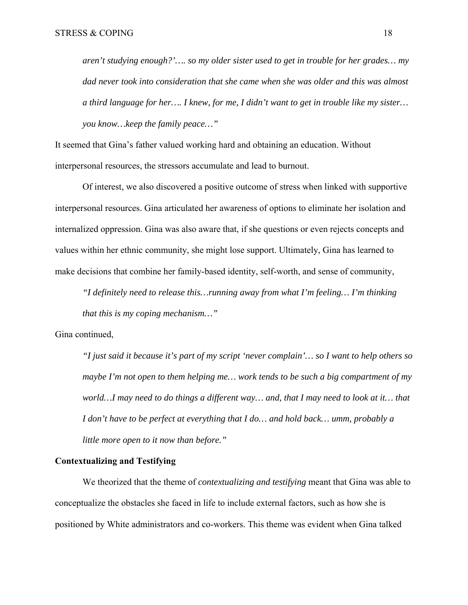*aren't studying enough?'…. so my older sister used to get in trouble for her grades… my dad never took into consideration that she came when she was older and this was almost a third language for her…. I knew, for me, I didn't want to get in trouble like my sister… you know…keep the family peace…"*

It seemed that Gina's father valued working hard and obtaining an education. Without interpersonal resources, the stressors accumulate and lead to burnout.

Of interest, we also discovered a positive outcome of stress when linked with supportive interpersonal resources. Gina articulated her awareness of options to eliminate her isolation and internalized oppression. Gina was also aware that, if she questions or even rejects concepts and values within her ethnic community, she might lose support. Ultimately, Gina has learned to make decisions that combine her family-based identity, self-worth, and sense of community,

*"I definitely need to release this…running away from what I'm feeling… I'm thinking that this is my coping mechanism…"*

Gina continued,

*"I just said it because it's part of my script 'never complain'… so I want to help others so maybe I'm not open to them helping me… work tends to be such a big compartment of my world…I may need to do things a different way… and, that I may need to look at it… that I don't have to be perfect at everything that I do… and hold back… umm, probably a little more open to it now than before."* 

#### **Contextualizing and Testifying**

We theorized that the theme of *contextualizing and testifying* meant that Gina was able to conceptualize the obstacles she faced in life to include external factors, such as how she is positioned by White administrators and co-workers. This theme was evident when Gina talked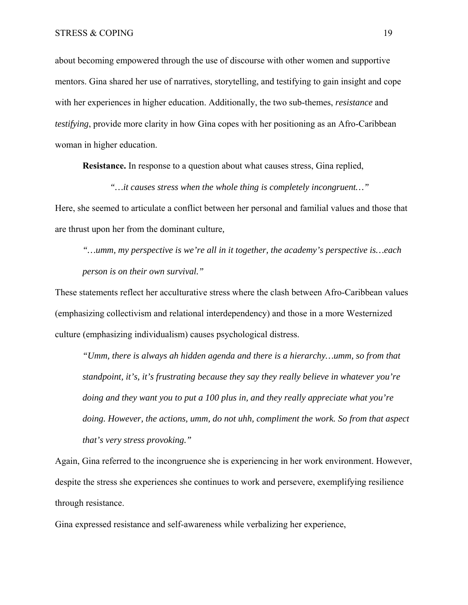about becoming empowered through the use of discourse with other women and supportive mentors. Gina shared her use of narratives, storytelling, and testifying to gain insight and cope with her experiences in higher education. Additionally, the two sub-themes, *resistance* and *testifying*, provide more clarity in how Gina copes with her positioning as an Afro-Caribbean woman in higher education.

**Resistance.** In response to a question about what causes stress, Gina replied,

Here, she seemed to articulate a conflict between her personal and familial values and those that are thrust upon her from the dominant culture*,* 

*"…it causes stress when the whole thing is completely incongruent…"* 

*"…umm, my perspective is we're all in it together, the academy's perspective is…each person is on their own survival."* 

These statements reflect her acculturative stress where the clash between Afro-Caribbean values (emphasizing collectivism and relational interdependency) and those in a more Westernized culture (emphasizing individualism) causes psychological distress.

*"Umm, there is always ah hidden agenda and there is a hierarchy…umm, so from that standpoint, it's, it's frustrating because they say they really believe in whatever you're doing and they want you to put a 100 plus in, and they really appreciate what you're doing. However, the actions, umm, do not uhh, compliment the work. So from that aspect that's very stress provoking."* 

Again, Gina referred to the incongruence she is experiencing in her work environment. However, despite the stress she experiences she continues to work and persevere, exemplifying resilience through resistance.

Gina expressed resistance and self-awareness while verbalizing her experience,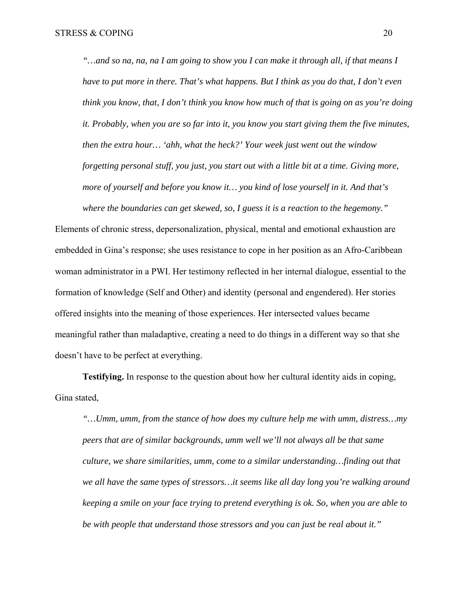*"…and so na, na, na I am going to show you I can make it through all, if that means I have to put more in there. That's what happens. But I think as you do that, I don't even think you know, that, I don't think you know how much of that is going on as you're doing it. Probably, when you are so far into it, you know you start giving them the five minutes, then the extra hour… 'ahh, what the heck?' Your week just went out the window forgetting personal stuff, you just, you start out with a little bit at a time. Giving more, more of yourself and before you know it… you kind of lose yourself in it. And that's where the boundaries can get skewed, so, I guess it is a reaction to the hegemony."* 

Elements of chronic stress, depersonalization, physical, mental and emotional exhaustion are embedded in Gina's response; she uses resistance to cope in her position as an Afro-Caribbean woman administrator in a PWI. Her testimony reflected in her internal dialogue, essential to the formation of knowledge (Self and Other) and identity (personal and engendered). Her stories offered insights into the meaning of those experiences. Her intersected values became meaningful rather than maladaptive, creating a need to do things in a different way so that she doesn't have to be perfect at everything.

**Testifying.** In response to the question about how her cultural identity aids in coping, Gina stated,

*"…Umm, umm, from the stance of how does my culture help me with umm, distress…my peers that are of similar backgrounds, umm well we'll not always all be that same culture, we share similarities, umm, come to a similar understanding…finding out that we all have the same types of stressors…it seems like all day long you're walking around keeping a smile on your face trying to pretend everything is ok. So, when you are able to be with people that understand those stressors and you can just be real about it."*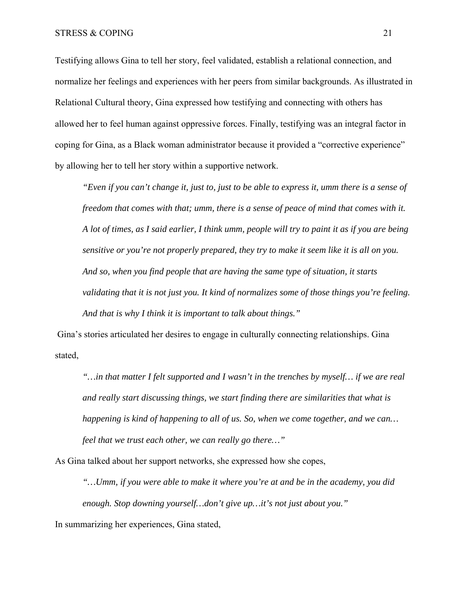Testifying allows Gina to tell her story, feel validated, establish a relational connection, and normalize her feelings and experiences with her peers from similar backgrounds. As illustrated in Relational Cultural theory, Gina expressed how testifying and connecting with others has allowed her to feel human against oppressive forces. Finally, testifying was an integral factor in coping for Gina, as a Black woman administrator because it provided a "corrective experience" by allowing her to tell her story within a supportive network.

*"Even if you can't change it, just to, just to be able to express it, umm there is a sense of freedom that comes with that; umm, there is a sense of peace of mind that comes with it. A lot of times, as I said earlier, I think umm, people will try to paint it as if you are being sensitive or you're not properly prepared, they try to make it seem like it is all on you. And so, when you find people that are having the same type of situation, it starts validating that it is not just you. It kind of normalizes some of those things you're feeling. And that is why I think it is important to talk about things."*

Gina's stories articulated her desires to engage in culturally connecting relationships. Gina stated,

*"…in that matter I felt supported and I wasn't in the trenches by myself… if we are real and really start discussing things, we start finding there are similarities that what is happening is kind of happening to all of us. So, when we come together, and we can… feel that we trust each other, we can really go there…"* 

As Gina talked about her support networks, she expressed how she copes,

*"…Umm, if you were able to make it where you're at and be in the academy, you did enough. Stop downing yourself…don't give up…it's not just about you."*

In summarizing her experiences, Gina stated,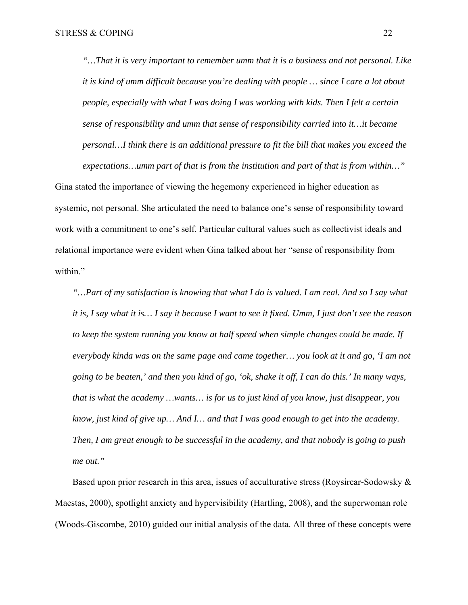*"…That it is very important to remember umm that it is a business and not personal. Like it is kind of umm difficult because you're dealing with people … since I care a lot about people, especially with what I was doing I was working with kids. Then I felt a certain sense of responsibility and umm that sense of responsibility carried into it…it became personal…I think there is an additional pressure to fit the bill that makes you exceed the expectations…umm part of that is from the institution and part of that is from within…"* 

Gina stated the importance of viewing the hegemony experienced in higher education as systemic, not personal. She articulated the need to balance one's sense of responsibility toward work with a commitment to one's self. Particular cultural values such as collectivist ideals and relational importance were evident when Gina talked about her "sense of responsibility from within."

*"…Part of my satisfaction is knowing that what I do is valued. I am real. And so I say what it is, I say what it is… I say it because I want to see it fixed. Umm, I just don't see the reason to keep the system running you know at half speed when simple changes could be made. If everybody kinda was on the same page and came together… you look at it and go, 'I am not going to be beaten,' and then you kind of go, 'ok, shake it off, I can do this.' In many ways, that is what the academy …wants… is for us to just kind of you know, just disappear, you know, just kind of give up… And I… and that I was good enough to get into the academy. Then, I am great enough to be successful in the academy, and that nobody is going to push me out."*

Based upon prior research in this area, issues of acculturative stress (Roysircar-Sodowsky & Maestas, 2000), spotlight anxiety and hypervisibility (Hartling, 2008), and the superwoman role (Woods-Giscombe, 2010) guided our initial analysis of the data. All three of these concepts were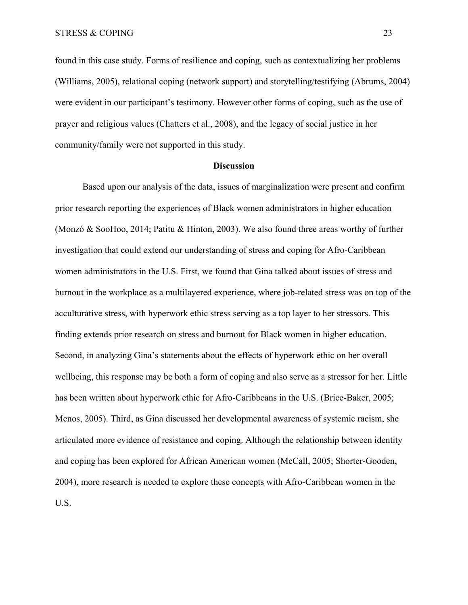found in this case study. Forms of resilience and coping, such as contextualizing her problems (Williams, 2005), relational coping (network support) and storytelling/testifying (Abrums, 2004) were evident in our participant's testimony. However other forms of coping, such as the use of prayer and religious values (Chatters et al., 2008), and the legacy of social justice in her community/family were not supported in this study.

#### **Discussion**

Based upon our analysis of the data, issues of marginalization were present and confirm prior research reporting the experiences of Black women administrators in higher education (Monzó & SooHoo, 2014; Patitu & Hinton, 2003). We also found three areas worthy of further investigation that could extend our understanding of stress and coping for Afro-Caribbean women administrators in the U.S. First, we found that Gina talked about issues of stress and burnout in the workplace as a multilayered experience, where job-related stress was on top of the acculturative stress, with hyperwork ethic stress serving as a top layer to her stressors. This finding extends prior research on stress and burnout for Black women in higher education. Second, in analyzing Gina's statements about the effects of hyperwork ethic on her overall wellbeing, this response may be both a form of coping and also serve as a stressor for her. Little has been written about hyperwork ethic for Afro-Caribbeans in the U.S. (Brice-Baker, 2005; Menos, 2005). Third, as Gina discussed her developmental awareness of systemic racism, she articulated more evidence of resistance and coping. Although the relationship between identity and coping has been explored for African American women (McCall, 2005; Shorter-Gooden, 2004), more research is needed to explore these concepts with Afro-Caribbean women in the U.S.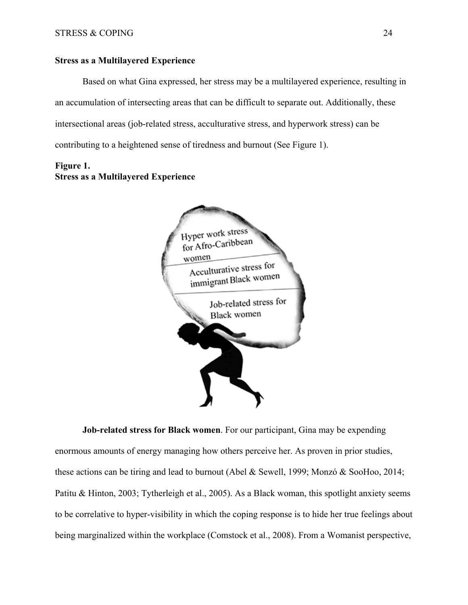# **Stress as a Multilayered Experience**

Based on what Gina expressed, her stress may be a multilayered experience, resulting in an accumulation of intersecting areas that can be difficult to separate out. Additionally, these intersectional areas (job-related stress, acculturative stress, and hyperwork stress) can be contributing to a heightened sense of tiredness and burnout (See Figure 1).

# **Figure 1. Stress as a Multilayered Experience**



**Job-related stress for Black women**. For our participant, Gina may be expending enormous amounts of energy managing how others perceive her. As proven in prior studies, these actions can be tiring and lead to burnout (Abel & Sewell, 1999; Monzó & SooHoo, 2014; Patitu & Hinton, 2003; Tytherleigh et al., 2005). As a Black woman, this spotlight anxiety seems to be correlative to hyper-visibility in which the coping response is to hide her true feelings about being marginalized within the workplace (Comstock et al., 2008). From a Womanist perspective,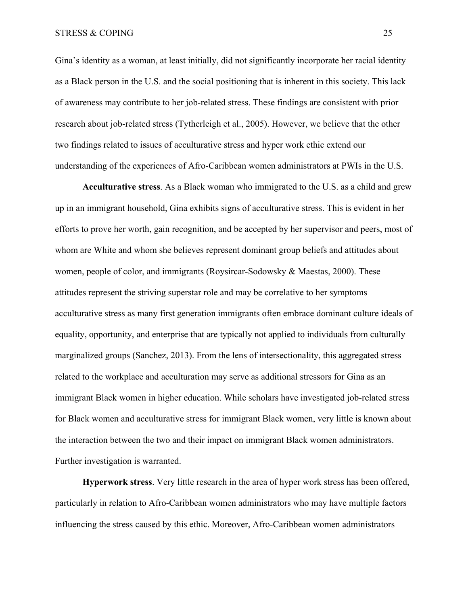Gina's identity as a woman, at least initially, did not significantly incorporate her racial identity as a Black person in the U.S. and the social positioning that is inherent in this society. This lack of awareness may contribute to her job-related stress. These findings are consistent with prior research about job-related stress (Tytherleigh et al., 2005). However, we believe that the other two findings related to issues of acculturative stress and hyper work ethic extend our understanding of the experiences of Afro-Caribbean women administrators at PWIs in the U.S.

**Acculturative stress**. As a Black woman who immigrated to the U.S. as a child and grew up in an immigrant household, Gina exhibits signs of acculturative stress. This is evident in her efforts to prove her worth, gain recognition, and be accepted by her supervisor and peers, most of whom are White and whom she believes represent dominant group beliefs and attitudes about women, people of color, and immigrants (Roysircar-Sodowsky & Maestas, 2000). These attitudes represent the striving superstar role and may be correlative to her symptoms acculturative stress as many first generation immigrants often embrace dominant culture ideals of equality, opportunity, and enterprise that are typically not applied to individuals from culturally marginalized groups (Sanchez, 2013). From the lens of intersectionality, this aggregated stress related to the workplace and acculturation may serve as additional stressors for Gina as an immigrant Black women in higher education. While scholars have investigated job-related stress for Black women and acculturative stress for immigrant Black women, very little is known about the interaction between the two and their impact on immigrant Black women administrators. Further investigation is warranted.

**Hyperwork stress**. Very little research in the area of hyper work stress has been offered, particularly in relation to Afro-Caribbean women administrators who may have multiple factors influencing the stress caused by this ethic. Moreover, Afro-Caribbean women administrators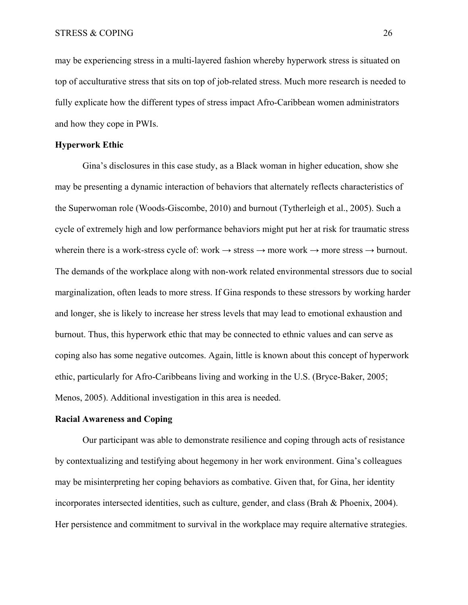may be experiencing stress in a multi-layered fashion whereby hyperwork stress is situated on top of acculturative stress that sits on top of job-related stress. Much more research is needed to fully explicate how the different types of stress impact Afro-Caribbean women administrators and how they cope in PWIs.

# **Hyperwork Ethic**

 Gina's disclosures in this case study, as a Black woman in higher education, show she may be presenting a dynamic interaction of behaviors that alternately reflects characteristics of the Superwoman role (Woods-Giscombe, 2010) and burnout (Tytherleigh et al., 2005). Such a cycle of extremely high and low performance behaviors might put her at risk for traumatic stress wherein there is a work-stress cycle of: work  $\rightarrow$  stress  $\rightarrow$  more work  $\rightarrow$  more stress  $\rightarrow$  burnout. The demands of the workplace along with non-work related environmental stressors due to social marginalization, often leads to more stress. If Gina responds to these stressors by working harder and longer, she is likely to increase her stress levels that may lead to emotional exhaustion and burnout. Thus, this hyperwork ethic that may be connected to ethnic values and can serve as coping also has some negative outcomes. Again, little is known about this concept of hyperwork ethic, particularly for Afro-Caribbeans living and working in the U.S. (Bryce-Baker, 2005; Menos, 2005). Additional investigation in this area is needed.

## **Racial Awareness and Coping**

Our participant was able to demonstrate resilience and coping through acts of resistance by contextualizing and testifying about hegemony in her work environment. Gina's colleagues may be misinterpreting her coping behaviors as combative. Given that, for Gina, her identity incorporates intersected identities, such as culture, gender, and class (Brah & Phoenix, 2004). Her persistence and commitment to survival in the workplace may require alternative strategies.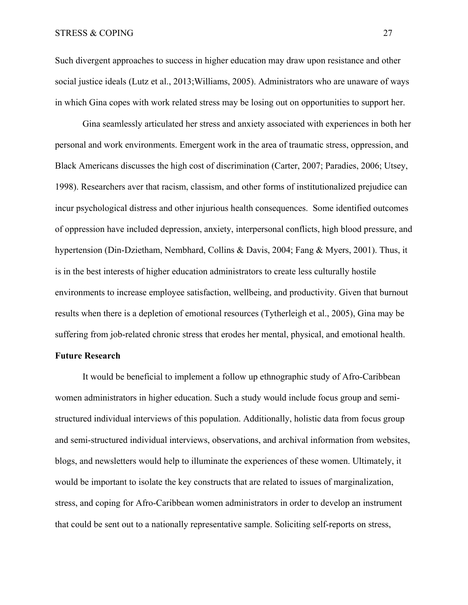Such divergent approaches to success in higher education may draw upon resistance and other social justice ideals (Lutz et al., 2013;Williams, 2005). Administrators who are unaware of ways in which Gina copes with work related stress may be losing out on opportunities to support her.

Gina seamlessly articulated her stress and anxiety associated with experiences in both her personal and work environments. Emergent work in the area of traumatic stress, oppression, and Black Americans discusses the high cost of discrimination (Carter, 2007; Paradies, 2006; Utsey, 1998). Researchers aver that racism, classism, and other forms of institutionalized prejudice can incur psychological distress and other injurious health consequences. Some identified outcomes of oppression have included depression, anxiety, interpersonal conflicts, high blood pressure, and hypertension (Din-Dzietham, Nembhard, Collins & Davis, 2004; Fang & Myers, 2001). Thus, it is in the best interests of higher education administrators to create less culturally hostile environments to increase employee satisfaction, wellbeing, and productivity. Given that burnout results when there is a depletion of emotional resources (Tytherleigh et al., 2005), Gina may be suffering from job-related chronic stress that erodes her mental, physical, and emotional health.

# **Future Research**

It would be beneficial to implement a follow up ethnographic study of Afro-Caribbean women administrators in higher education. Such a study would include focus group and semistructured individual interviews of this population. Additionally, holistic data from focus group and semi-structured individual interviews, observations, and archival information from websites, blogs, and newsletters would help to illuminate the experiences of these women. Ultimately, it would be important to isolate the key constructs that are related to issues of marginalization, stress, and coping for Afro-Caribbean women administrators in order to develop an instrument that could be sent out to a nationally representative sample. Soliciting self-reports on stress,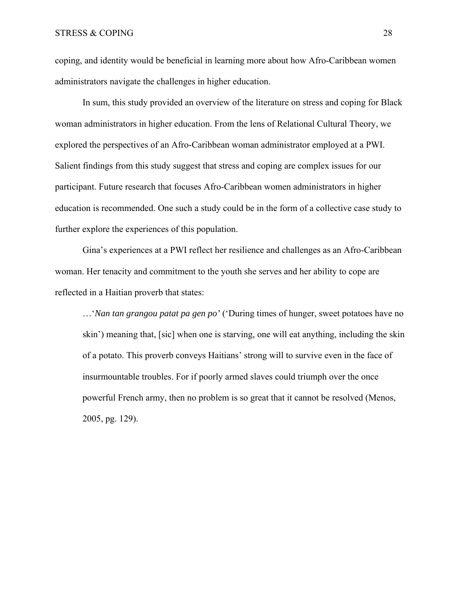coping, and identity would be beneficial in learning more about how Afro-Caribbean women administrators navigate the challenges in higher education.

In sum, this study provided an overview of the literature on stress and coping for Black woman administrators in higher education. From the lens of Relational Cultural Theory, we explored the perspectives of an Afro-Caribbean woman administrator employed at a PWI. Salient findings from this study suggest that stress and coping are complex issues for our participant. Future research that focuses Afro-Caribbean women administrators in higher education is recommended. One such a study could be in the form of a collective case study to further explore the experiences of this population.

Gina's experiences at a PWI reflect her resilience and challenges as an Afro-Caribbean woman. Her tenacity and commitment to the youth she serves and her ability to cope are reflected in a Haitian proverb that states:

…'*Nan tan grangou patat pa gen po'* ('During times of hunger, sweet potatoes have no skin') meaning that, [sic] when one is starving, one will eat anything, including the skin of a potato. This proverb conveys Haitians' strong will to survive even in the face of insurmountable troubles. For if poorly armed slaves could triumph over the once powerful French army, then no problem is so great that it cannot be resolved (Menos, 2005, pg. 129).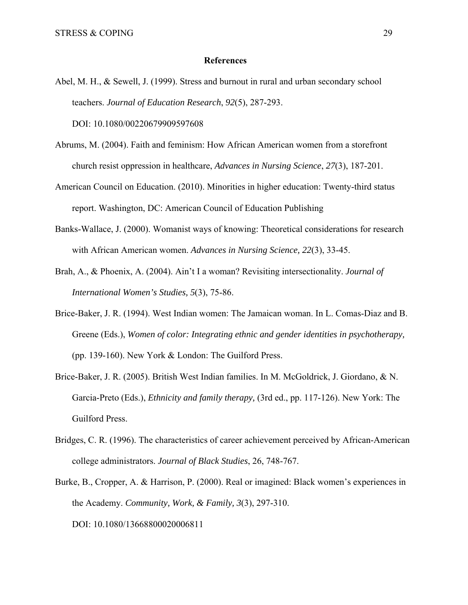#### **References**

Abel, M. H., & Sewell, J. (1999). Stress and burnout in rural and urban secondary school teachers. *Journal of Education Research*, *92*(5), 287-293.

DOI: 10.1080/00220679909597608

- Abrums, M. (2004). Faith and feminism: How African American women from a storefront church resist oppression in healthcare, *Advances in Nursing Science*, *27*(3), 187-201.
- American Council on Education. (2010). Minorities in higher education: Twenty-third status report. Washington, DC: American Council of Education Publishing
- Banks-Wallace, J. (2000). Womanist ways of knowing: Theoretical considerations for research with African American women. *Advances in Nursing Science, 22*(3), 33-45.
- Brah, A., & Phoenix, A. (2004). Ain't I a woman? Revisiting intersectionality. *Journal of International Women's Studies, 5*(3), 75-86.
- Brice-Baker, J. R. (1994). West Indian women: The Jamaican woman. In L. Comas-Diaz and B. Greene (Eds.), *Women of color: Integrating ethnic and gender identities in psychotherapy,* (pp. 139-160). New York & London: The Guilford Press.
- Brice-Baker, J. R. (2005). British West Indian families. In M. McGoldrick, J. Giordano, & N. Garcia-Preto (Eds.), *Ethnicity and family therapy,* (3rd ed., pp. 117-126). New York: The Guilford Press.
- Bridges, C. R. (1996). The characteristics of career achievement perceived by African-American college administrators. *Journal of Black Studies*, 26, 748-767.
- Burke, B., Cropper, A. & Harrison, P. (2000). Real or imagined: Black women's experiences in the Academy. *Community, Work, & Family, 3*(3), 297-310. DOI: 10.1080/13668800020006811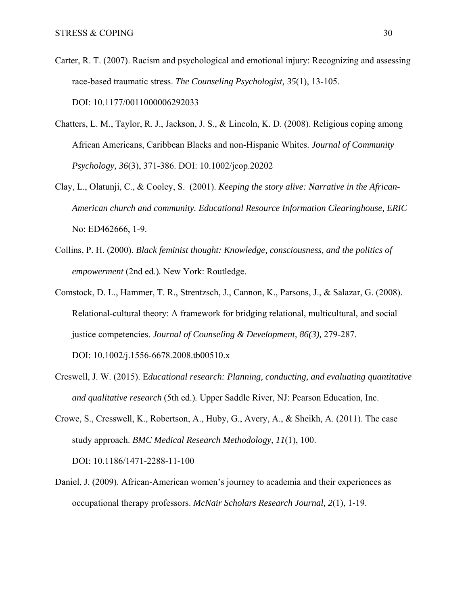- Carter, R. T. (2007). Racism and psychological and emotional injury: Recognizing and assessing race-based traumatic stress. *The Counseling Psychologist, 35*(1), 13-105. DOI: 10.1177/0011000006292033
- Chatters, L. M., Taylor, R. J., Jackson, J. S., & Lincoln, K. D. (2008). Religious coping among African Americans, Caribbean Blacks and non-Hispanic Whites. *Journal of Community Psychology, 36*(3), 371-386. DOI: 10.1002/jcop.20202
- Clay, L., Olatunji, C., & Cooley, S. (2001). *Keeping the story alive: Narrative in the African-American church and community. Educational Resource Information Clearinghouse, ERIC*  No: ED462666, 1-9.
- Collins, P. H. (2000). *Black feminist thought: Knowledge, consciousness, and the politics of empowerment* (2nd ed.)*.* New York: Routledge.
- Comstock, D. L., Hammer, T. R., Strentzsch, J., Cannon, K., Parsons, J., & Salazar, G. (2008). Relational-cultural theory: A framework for bridging relational, multicultural, and social justice competencies. *Journal of Counseling & Development, 86(3),* 279-287. DOI: 10.1002/j.1556-6678.2008.tb00510.x
- Creswell, J. W. (2015). E*ducational research: Planning, conducting, and evaluating quantitative*
- Crowe, S., Cresswell, K., Robertson, A., Huby, G., Avery, A., & Sheikh, A. (2011). The case study approach. *BMC Medical Research Methodology*, *11*(1), 100. DOI: 10.1186/1471-2288-11-100

*and qualitative research* (5th ed.)*.* Upper Saddle River, NJ: Pearson Education, Inc.

Daniel, J. (2009). African-American women's journey to academia and their experiences as occupational therapy professors. *McNair Scholars Research Journal, 2*(1), 1-19.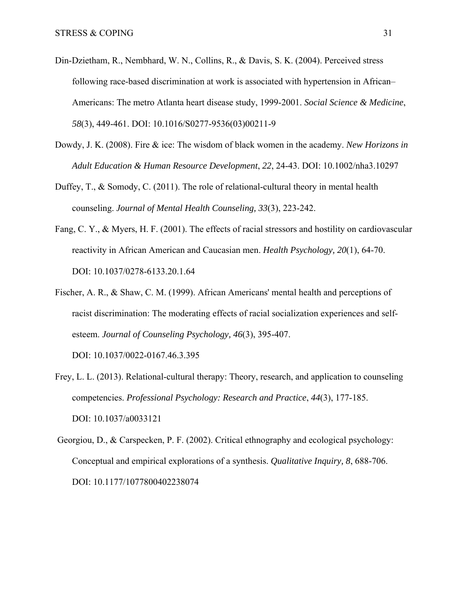- Din-Dzietham, R., Nembhard, W. N., Collins, R., & Davis, S. K. (2004). Perceived stress following race-based discrimination at work is associated with hypertension in African– Americans: The metro Atlanta heart disease study, 1999-2001. *Social Science & Medicine*, *58*(3), 449-461. DOI: 10.1016/S0277-9536(03)00211-9
- Dowdy, J. K. (2008). Fire & ice: The wisdom of black women in the academy. *New Horizons in Adult Education & Human Resource Development*, *22*, 24-43. DOI: 10.1002/nha3.10297
- Duffey,  $T_{\text{L}}$ , & Somody, C. (2011). The role of relational-cultural theory in mental health counseling. *Journal of Mental Health Counseling, 33*(3), 223-242.
- Fang, C. Y., & Myers, H. F. (2001). The effects of racial stressors and hostility on cardiovascular reactivity in African American and Caucasian men. *Health Psychology, 20*(1), 64-70. DOI: 10.1037/0278-6133.20.1.64
- Fischer, A. R., & Shaw, C. M. (1999). African Americans' mental health and perceptions of racist discrimination: The moderating effects of racial socialization experiences and selfesteem. *Journal of Counseling Psychology, 46*(3), 395-407.

DOI: 10.1037/0022-0167.46.3.395

- Frey, L. L. (2013). Relational-cultural therapy: Theory, research, and application to counseling competencies. *Professional Psychology: Research and Practice*, *44*(3), 177-185. DOI: 10.1037/a0033121
- Georgiou, D., & Carspecken, P. F. (2002). Critical ethnography and ecological psychology: Conceptual and empirical explorations of a synthesis. *Qualitative Inquiry, 8*, 688-706. DOI: 10.1177/1077800402238074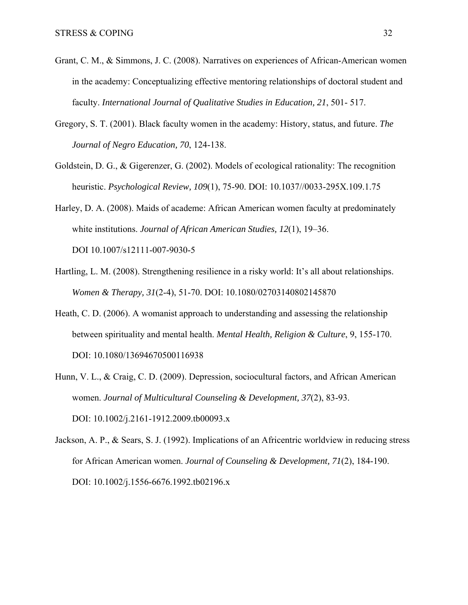- Grant, C. M., & Simmons, J. C. (2008). Narratives on experiences of African-American women in the academy: Conceptualizing effective mentoring relationships of doctoral student and faculty. *International Journal of Qualitative Studies in Education, 21*, 501- 517.
- Gregory, S. T. (2001). Black faculty women in the academy: History, status, and future. *The Journal of Negro Education, 70*, 124-138.
- Goldstein, D. G., & Gigerenzer, G. (2002). Models of ecological rationality: The recognition heuristic. *Psychological Review, 109*(1), 75-90. DOI: 10.1037//0033-295X.109.1.75
- Harley, D. A. (2008). Maids of academe: African American women faculty at predominately white institutions. *Journal of African American Studies, 12*(1), 19–36. DOI 10.1007/s12111-007-9030-5
- Hartling, L. M. (2008). Strengthening resilience in a risky world: It's all about relationships. *Women & Therapy, 31*(2-4), 51-70. DOI: 10.1080/02703140802145870
- Heath, C. D. (2006). A womanist approach to understanding and assessing the relationship between spirituality and mental health. *Mental Health, Religion & Culture*, 9, 155-170. DOI: 10.1080/13694670500116938
- Hunn, V. L., & Craig, C. D. (2009). Depression, sociocultural factors, and African American women. *Journal of Multicultural Counseling & Development, 37*(2), 83-93. DOI: 10.1002/j.2161-1912.2009.tb00093.x

Jackson, A. P., & Sears, S. J. (1992). Implications of an Africentric worldview in reducing stress for African American women. *Journal of Counseling & Development, 71*(2), 184-190. DOI: 10.1002/j.1556-6676.1992.tb02196.x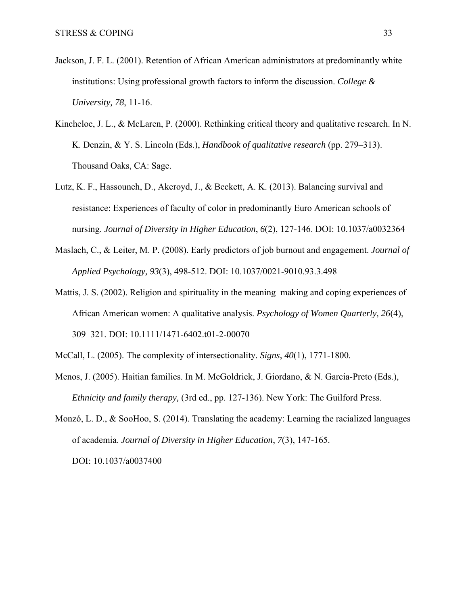- Jackson, J. F. L. (2001). Retention of African American administrators at predominantly white institutions: Using professional growth factors to inform the discussion. *College & University, 78*, 11-16.
- Kincheloe, J. L., & McLaren, P. (2000). Rethinking critical theory and qualitative research. In N. K. Denzin, & Y. S. Lincoln (Eds.), *Handbook of qualitative research* (pp. 279–313). Thousand Oaks, CA: Sage.
- Lutz, K. F., Hassouneh, D., Akeroyd, J., & Beckett, A. K. (2013). Balancing survival and resistance: Experiences of faculty of color in predominantly Euro American schools of nursing. *Journal of Diversity in Higher Education*, *6*(2), 127-146. DOI: 10.1037/a0032364
- Maslach, C., & Leiter, M. P. (2008). Early predictors of job burnout and engagement. *Journal of Applied Psychology, 93*(3), 498-512. DOI: 10.1037/0021-9010.93.3.498
- Mattis, J. S. (2002). Religion and spirituality in the meaning–making and coping experiences of African American women: A qualitative analysis. *Psychology of Women Quarterly, 26*(4), 309–321. DOI: 10.1111/1471-6402.t01-2-00070
- McCall, L. (2005). The complexity of intersectionality. *Signs*, *40*(1), 1771-1800.
- Menos, J. (2005). Haitian families. In M. McGoldrick, J. Giordano, & N. Garcia-Preto (Eds.), *Ethnicity and family therapy,* (3rd ed., pp. 127-136). New York: The Guilford Press.
- Monzó, L. D., & SooHoo, S. (2014). Translating the academy: Learning the racialized languages of academia. *Journal of Diversity in Higher Education*, *7*(3), 147-165. DOI: 10.1037/a0037400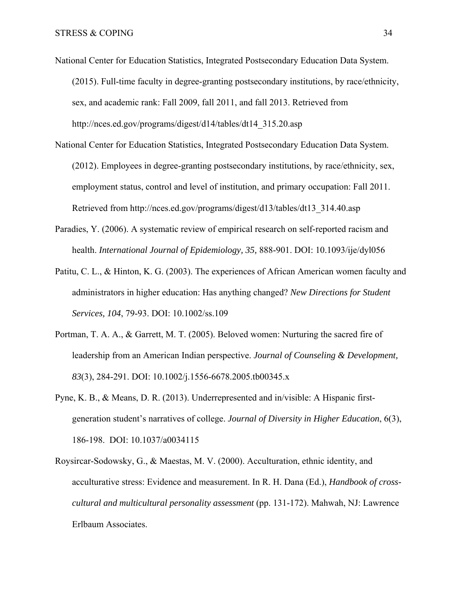- National Center for Education Statistics, Integrated Postsecondary Education Data System. (2015). Full-time faculty in degree-granting postsecondary institutions, by race/ethnicity, sex, and academic rank: Fall 2009, fall 2011, and fall 2013. Retrieved from http://nces.ed.gov/programs/digest/d14/tables/dt14\_315.20.asp
- National Center for Education Statistics, Integrated Postsecondary Education Data System. (2012). Employees in degree-granting postsecondary institutions, by race/ethnicity, sex, employment status, control and level of institution, and primary occupation: Fall 2011. Retrieved from http://nces.ed.gov/programs/digest/d13/tables/dt13\_314.40.asp
- Paradies, Y. (2006). A systematic review of empirical research on self-reported racism and health. *International Journal of Epidemiology, 35,* 888-901. DOI: 10.1093/ije/dyl056
- Patitu, C. L., & Hinton, K. G. (2003). The experiences of African American women faculty and administrators in higher education: Has anything changed? *New Directions for Student Services, 104*, 79-93. DOI: 10.1002/ss.109
- Portman, T. A. A., & Garrett, M. T. (2005). Beloved women: Nurturing the sacred fire of leadership from an American Indian perspective. *Journal of Counseling & Development, 83*(3), 284-291. DOI: 10.1002/j.1556-6678.2005.tb00345.x
- Pyne, K. B., & Means, D. R. (2013). Underrepresented and in/visible: A Hispanic firstgeneration student's narratives of college. *Journal of Diversity in Higher Education*, 6(3), 186-198. DOI: 10.1037/a0034115
- Roysircar-Sodowsky, G., & Maestas, M. V. (2000). Acculturation, ethnic identity, and acculturative stress: Evidence and measurement. In R. H. Dana (Ed.), *Handbook of crosscultural and multicultural personality assessment* (pp. 131-172). Mahwah, NJ: Lawrence Erlbaum Associates.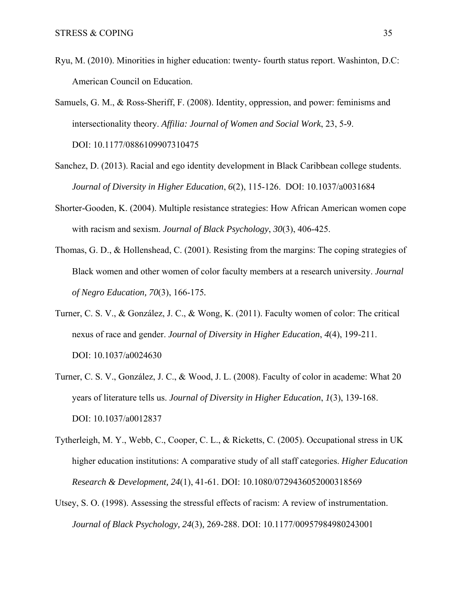- Ryu, M. (2010). Minorities in higher education: twenty- fourth status report. Washinton, D.C: American Council on Education.
- Samuels, G. M., & Ross-Sheriff, F. (2008). Identity, oppression, and power: feminisms and intersectionality theory. *Affilia: Journal of Women and Social Work*, 23, 5-9. DOI: 10.1177/0886109907310475
- Sanchez, D. (2013). Racial and ego identity development in Black Caribbean college students. *Journal of Diversity in Higher Education*, *6*(2), 115-126. DOI: 10.1037/a0031684
- Shorter-Gooden, K. (2004). Multiple resistance strategies: How African American women cope with racism and sexism. *Journal of Black Psychology*, *30*(3), 406-425.
- Thomas, G. D., & Hollenshead, C. (2001). Resisting from the margins: The coping strategies of Black women and other women of color faculty members at a research university. *Journal of Negro Education, 70*(3), 166-175*.*
- Turner, C. S. V., & González, J. C., & Wong, K. (2011). Faculty women of color: The critical nexus of race and gender. *Journal of Diversity in Higher Education*, *4*(4), 199-211. DOI: 10.1037/a0024630
- Turner, C. S. V., González, J. C., & Wood, J. L. (2008). Faculty of color in academe: What 20 years of literature tells us. *Journal of Diversity in Higher Education*, *1*(3), 139-168. DOI: 10.1037/a0012837
- Tytherleigh, M. Y., Webb, C., Cooper, C. L., & Ricketts, C. (2005). Occupational stress in UK higher education institutions: A comparative study of all staff categories. *Higher Education Research & Development, 24*(1), 41-61. DOI: 10.1080/0729436052000318569
- Utsey, S. O. (1998). Assessing the stressful effects of racism: A review of instrumentation. *Journal of Black Psychology, 24*(3)*,* 269-288. DOI: 10.1177/00957984980243001